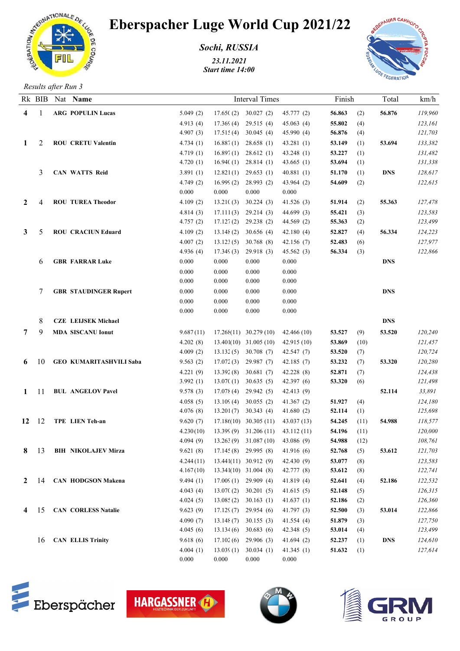

## Eberspacher Luge World Cup 2021/22

*Sochi, RUSSIA*

*23.11.2021 Start time 14:00*



*Results after Run 3*

|                 |                 | Rk BIB Nat Name                | <b>Interval Times</b> |                        |                                       |                    | Finish |      | Total      | km/h    |
|-----------------|-----------------|--------------------------------|-----------------------|------------------------|---------------------------------------|--------------------|--------|------|------------|---------|
| 4               |                 | <b>ARG POPULIN Lucas</b>       | 5.049(2)              |                        | $17.65(2)$ 30.027 (2)                 | 45.777 (2)         | 56.863 | (2)  | 56.876     | 119,960 |
|                 |                 |                                | 4.913(4)              | 17.369(4)              | 29.515(4)                             | 45.063(4)          | 55.802 | (4)  |            | 123,161 |
|                 |                 |                                | 4.907(3)              | $17.515(4)$ 30.045 (4) |                                       | 45.990 (4)         | 56.876 | (4)  |            | 121,703 |
| $\bf{1}$        | 2               | <b>ROU CRETU Valentin</b>      | 4.734(1)              | 16.887(1)              | 28.658(1)                             | 43.281(1)          | 53.149 | (1)  | 53.694     | 133,382 |
|                 |                 |                                | 4.719(1)              | 16.897(1)              | 28.612(1)                             | 43.248(1)          | 53.227 | (1)  |            | 131,482 |
|                 |                 |                                | 4.720(1)              | 16.940(1)              | 28.814(1)                             | 43.665(1)          | 53.694 | (1)  |            | 131,338 |
|                 | 3               | <b>CAN WATTS Reid</b>          | 3.891(1)              | 12.821(1)              | 29.653(1)                             | 40.881(1)          | 51.170 | (1)  | <b>DNS</b> | 128,617 |
|                 |                 |                                | 4.749(2)              | 16.999(2)              | 28.993(2)                             | 43.964(2)          | 54.609 | (2)  |            | 122,615 |
|                 |                 |                                | 0.000                 | 0.000                  | 0.000                                 | 0.000              |        |      |            |         |
| 2               |                 | <b>ROU TUREA Theodor</b>       | 4.109(2)              | 13.210(3)              | 30.224(3)                             | 41.526(3)          | 51.914 | (2)  | 55.363     | 127,478 |
|                 |                 |                                | 4.814(3)              | 17.111(3)              | 29.214(3)                             | 44.699 (3)         | 55.421 | (3)  |            | 123,583 |
|                 |                 |                                | 4.757(2)              | 17.127(2)              | 29.238 (2)                            | 44.569 (2)         | 55.363 | (2)  |            | 123,499 |
| $\mathbf{3}$    | 5               | <b>ROU CRACIUN Eduard</b>      | 4.109(2)              | 13.148(2)              | 30.656(4)                             | 42.180(4)          | 52.827 | (4)  | 56.334     | 124,223 |
|                 |                 |                                | 4.007(2)              | 13.123(5)              | 30.768 (8)                            | 42.156(7)          | 52.483 | (6)  |            | 127,977 |
|                 |                 |                                | 4.936(4)              | 17.349(3)              | 29.918(3)                             | 45.562(3)          | 56.334 | (3)  |            | 122,866 |
|                 | 6               | <b>GBR FARRAR Luke</b>         | 0.000                 | 0.000                  | 0.000                                 | 0.000              |        |      | <b>DNS</b> |         |
|                 |                 |                                | 0.000                 | 0.000                  | 0.000                                 | 0.000              |        |      |            |         |
|                 |                 |                                | 0.000                 | 0.000                  | 0.000                                 | 0.000              |        |      |            |         |
|                 |                 | <b>GBR STAUDINGER Rupert</b>   | 0.000                 | 0.000                  | 0.000                                 | 0.000              |        |      | <b>DNS</b> |         |
|                 |                 |                                | 0.000                 | 0.000                  | 0.000                                 | 0.000              |        |      |            |         |
|                 |                 |                                | 0.000                 | 0.000                  | 0.000                                 | 0.000              |        |      |            |         |
|                 | 8               | <b>CZE LEIJSEK Michael</b>     |                       |                        |                                       |                    |        |      | <b>DNS</b> |         |
| $7\overline{ }$ | 9               | <b>MDA SISCANU Ionut</b>       | 9.687(11)             |                        | $17.268(11)$ 30.279 (10)              | 42.466(10)         | 53.527 | (9)  | 53.520     | 120,240 |
|                 |                 |                                | 4.202(8)              |                        | 13.401(10) 31.005 (10)                | 42.915 (10)        | 53.869 | (10) |            | 121,457 |
|                 |                 |                                | 4.009(2)              |                        | $13.132(5)$ 30.708 (7)                | 42.547 (7)         | 53.520 | (7)  |            | 120,724 |
| 6               | 10              | <b>GEO KUMARITASHVILI Saba</b> | 9.563(2)              |                        | $17.072(3)$ 29.987 (7)                | 42.185(7)          | 53.232 | (7)  | 53.320     | 120,280 |
|                 |                 |                                | 4.221(9)              | 13.392(8)              | 30.681(7)                             | 42.228 (8)         | 52.871 | (7)  |            | 124,438 |
|                 |                 |                                | 3.992(1)              |                        | $13.070(1)$ 30.635 (5)                | 42.397(6)          | 53.320 | (6)  |            | 121,498 |
| $\mathbf{1}$    | 11              | <b>BUL ANGELOV Pavel</b>       | 9.578(3)              | 17.078(4)              | 29.942 (5)                            | 42.413 (9)         |        |      | 52.114     | 33,891  |
|                 |                 |                                | 4.058(5)              |                        | $13.109(4)$ 30.055 (2)                | 41.367(2)          | 51.927 | (4)  |            | 124,180 |
|                 |                 |                                | 4.076(8)              |                        | $13.201(7)$ 30.343 (4)                | 41.680(2)          | 52.114 | (1)  |            | 125,698 |
| 12              | -12             | TPE LIEN Teh-an                | 9.620(7)              |                        | $17.18(10)$ 30.305 (11)               | 43.037(13)         | 54.245 | (11) | 54.988     | 118,577 |
|                 |                 |                                | 4.230(10)             |                        | $13.399(9)$ $31.206(11)$ $43.112(11)$ |                    | 54.196 | (11) |            | 120,000 |
|                 |                 |                                | 4.094(9)              |                        | 13.263 (9) 31.087 (10) 43.086 (9)     |                    | 54.988 | (12) |            | 108,761 |
| 8               | -13             | <b>BIH NIKOLAJEV Mirza</b>     | 9.621(8)              |                        | $17.145(8)$ 29.995 (8)                | 41.916(6)          | 52.768 | (5)  | 53.612     | 121,703 |
|                 |                 |                                | 4.244(11)             |                        | $13.441(11)$ $30.912$ (9)             | 42.430(9)          | 53.077 | (8)  |            | 123,583 |
|                 |                 |                                | 4.167(10)             |                        | $13.341(10)$ $31.004$ (8)             | 42.777 (8)         | 53.612 | (8)  |            | 122,741 |
|                 | $2 \t14$        | <b>CAN HODGSON Makena</b>      | 9.494(1)              |                        | $17.009(1)$ 29.909 (4)                | 41.819(4)          | 52.641 | (4)  | 52.186     | 122,532 |
|                 |                 |                                | 4.043(4)              |                        | $13.070(2)$ 30.201 (5)                | 41.615(5)          | 52.148 | (5)  |            | 126,315 |
|                 |                 |                                | 4.024(5)              |                        | $13.085(2)$ 30.163 (1)                | 41.637 $(1)$       | 52.186 | (2)  |            | 126,360 |
|                 | $4 \t15$        | <b>CAN CORLESS Natalie</b>     | 9.623(9)              |                        | $17.129(7)$ 29.954 (6)                | 41.797(3)          | 52.500 | (3)  | 53.014     | 122,866 |
|                 |                 |                                | 4.090(7)              | 13.148(7)              | 30.155(3)                             | 41.554(4)          | 51.879 | (3)  |            | 127,750 |
|                 |                 |                                | 4.045(6)              | 13.134(6)              | 30.683(6)                             | 42.348(5)          | 53.014 | (4)  |            | 123,499 |
|                 | 16 <sup>1</sup> | <b>CAN ELLIS Trinity</b>       | 9.618(6)              | 17.102(6)              | 29.906 (3)                            | 41.694(2)          | 52.237 | (1)  | DNS        | 124,610 |
|                 |                 |                                | 4.004(1)<br>0.000     | 13.039(1)<br>0.000     | 30.034(1)<br>0.000                    | 41.345(1)<br>0.000 | 51.632 | (1)  |            | 127,614 |
|                 |                 |                                |                       |                        |                                       |                    |        |      |            |         |